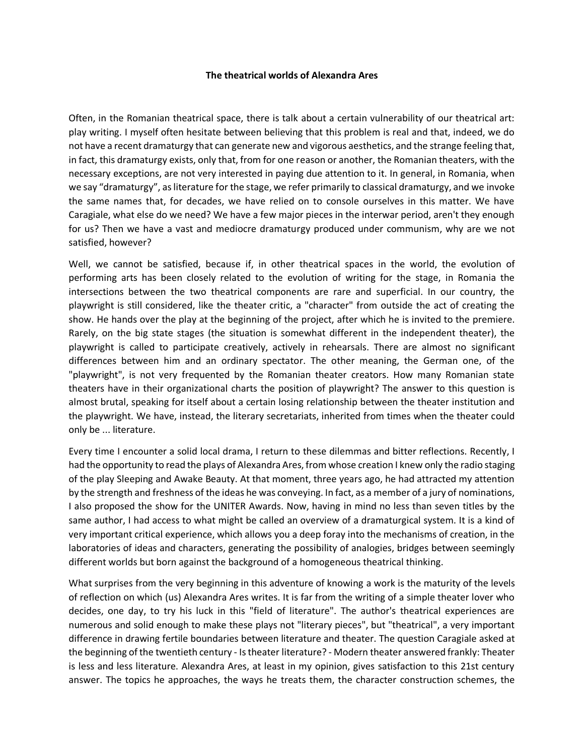## **The theatrical worlds of Alexandra Ares**

Often, in the Romanian theatrical space, there is talk about a certain vulnerability of our theatrical art: play writing. I myself often hesitate between believing that this problem is real and that, indeed, we do not have a recent dramaturgy that can generate new and vigorous aesthetics, and the strange feeling that, in fact, this dramaturgy exists, only that, from for one reason or another, the Romanian theaters, with the necessary exceptions, are not very interested in paying due attention to it. In general, in Romania, when we say "dramaturgy", as literature for the stage, we refer primarily to classical dramaturgy, and we invoke the same names that, for decades, we have relied on to console ourselves in this matter. We have Caragiale, what else do we need? We have a few major pieces in the interwar period, aren't they enough for us? Then we have a vast and mediocre dramaturgy produced under communism, why are we not satisfied, however?

Well, we cannot be satisfied, because if, in other theatrical spaces in the world, the evolution of performing arts has been closely related to the evolution of writing for the stage, in Romania the intersections between the two theatrical components are rare and superficial. In our country, the playwright is still considered, like the theater critic, a "character" from outside the act of creating the show. He hands over the play at the beginning of the project, after which he is invited to the premiere. Rarely, on the big state stages (the situation is somewhat different in the independent theater), the playwright is called to participate creatively, actively in rehearsals. There are almost no significant differences between him and an ordinary spectator. The other meaning, the German one, of the "playwright", is not very frequented by the Romanian theater creators. How many Romanian state theaters have in their organizational charts the position of playwright? The answer to this question is almost brutal, speaking for itself about a certain losing relationship between the theater institution and the playwright. We have, instead, the literary secretariats, inherited from times when the theater could only be ... literature.

Every time I encounter a solid local drama, I return to these dilemmas and bitter reflections. Recently, I had the opportunity to read the plays of Alexandra Ares, from whose creation I knew only the radio staging of the play Sleeping and Awake Beauty. At that moment, three years ago, he had attracted my attention by the strength and freshness of the ideas he was conveying. In fact, as a member of a jury of nominations, I also proposed the show for the UNITER Awards. Now, having in mind no less than seven titles by the same author, I had access to what might be called an overview of a dramaturgical system. It is a kind of very important critical experience, which allows you a deep foray into the mechanisms of creation, in the laboratories of ideas and characters, generating the possibility of analogies, bridges between seemingly different worlds but born against the background of a homogeneous theatrical thinking.

What surprises from the very beginning in this adventure of knowing a work is the maturity of the levels of reflection on which (us) Alexandra Ares writes. It is far from the writing of a simple theater lover who decides, one day, to try his luck in this "field of literature". The author's theatrical experiences are numerous and solid enough to make these plays not "literary pieces", but "theatrical", a very important difference in drawing fertile boundaries between literature and theater. The question Caragiale asked at the beginning of the twentieth century - Is theater literature? - Modern theater answered frankly: Theater is less and less literature. Alexandra Ares, at least in my opinion, gives satisfaction to this 21st century answer. The topics he approaches, the ways he treats them, the character construction schemes, the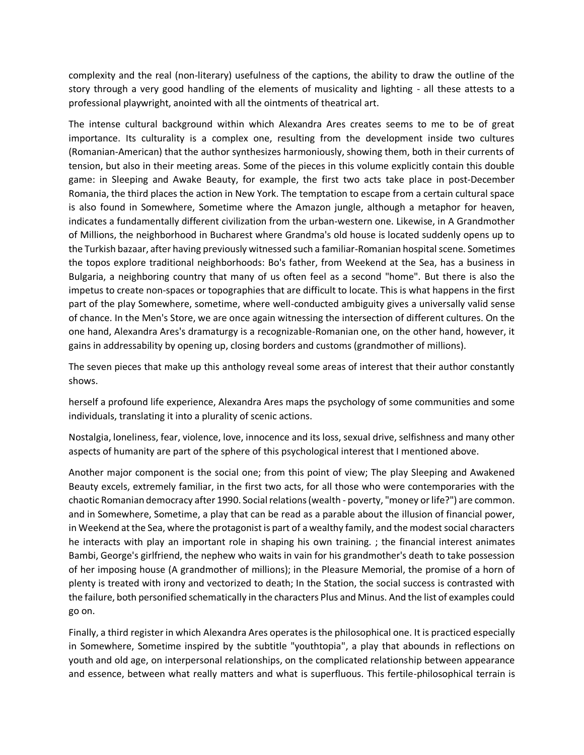complexity and the real (non-literary) usefulness of the captions, the ability to draw the outline of the story through a very good handling of the elements of musicality and lighting - all these attests to a professional playwright, anointed with all the ointments of theatrical art.

The intense cultural background within which Alexandra Ares creates seems to me to be of great importance. Its culturality is a complex one, resulting from the development inside two cultures (Romanian-American) that the author synthesizes harmoniously, showing them, both in their currents of tension, but also in their meeting areas. Some of the pieces in this volume explicitly contain this double game: in Sleeping and Awake Beauty, for example, the first two acts take place in post-December Romania, the third places the action in New York. The temptation to escape from a certain cultural space is also found in Somewhere, Sometime where the Amazon jungle, although a metaphor for heaven, indicates a fundamentally different civilization from the urban-western one. Likewise, in A Grandmother of Millions, the neighborhood in Bucharest where Grandma's old house is located suddenly opens up to the Turkish bazaar, after having previously witnessed such a familiar-Romanian hospital scene. Sometimes the topos explore traditional neighborhoods: Bo's father, from Weekend at the Sea, has a business in Bulgaria, a neighboring country that many of us often feel as a second "home". But there is also the impetus to create non-spaces or topographies that are difficult to locate. This is what happens in the first part of the play Somewhere, sometime, where well-conducted ambiguity gives a universally valid sense of chance. In the Men's Store, we are once again witnessing the intersection of different cultures. On the one hand, Alexandra Ares's dramaturgy is a recognizable-Romanian one, on the other hand, however, it gains in addressability by opening up, closing borders and customs (grandmother of millions).

The seven pieces that make up this anthology reveal some areas of interest that their author constantly shows.

herself a profound life experience, Alexandra Ares maps the psychology of some communities and some individuals, translating it into a plurality of scenic actions.

Nostalgia, loneliness, fear, violence, love, innocence and its loss, sexual drive, selfishness and many other aspects of humanity are part of the sphere of this psychological interest that I mentioned above.

Another major component is the social one; from this point of view; The play Sleeping and Awakened Beauty excels, extremely familiar, in the first two acts, for all those who were contemporaries with the chaotic Romanian democracy after 1990. Social relations (wealth - poverty, "money or life?") are common. and in Somewhere, Sometime, a play that can be read as a parable about the illusion of financial power, in Weekend at the Sea, where the protagonist is part of a wealthy family, and the modest social characters he interacts with play an important role in shaping his own training. ; the financial interest animates Bambi, George's girlfriend, the nephew who waits in vain for his grandmother's death to take possession of her imposing house (A grandmother of millions); in the Pleasure Memorial, the promise of a horn of plenty is treated with irony and vectorized to death; In the Station, the social success is contrasted with the failure, both personified schematically in the characters Plus and Minus. And the list of examples could go on.

Finally, a third register in which Alexandra Ares operates is the philosophical one. It is practiced especially in Somewhere, Sometime inspired by the subtitle "youthtopia", a play that abounds in reflections on youth and old age, on interpersonal relationships, on the complicated relationship between appearance and essence, between what really matters and what is superfluous. This fertile-philosophical terrain is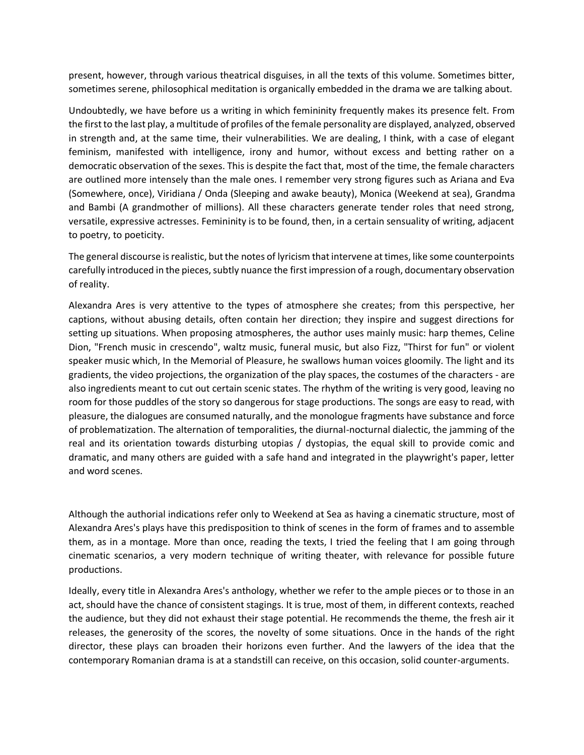present, however, through various theatrical disguises, in all the texts of this volume. Sometimes bitter, sometimes serene, philosophical meditation is organically embedded in the drama we are talking about.

Undoubtedly, we have before us a writing in which femininity frequently makes its presence felt. From the first to the last play, a multitude of profiles of the female personality are displayed, analyzed, observed in strength and, at the same time, their vulnerabilities. We are dealing, I think, with a case of elegant feminism, manifested with intelligence, irony and humor, without excess and betting rather on a democratic observation of the sexes. This is despite the fact that, most of the time, the female characters are outlined more intensely than the male ones. I remember very strong figures such as Ariana and Eva (Somewhere, once), Viridiana / Onda (Sleeping and awake beauty), Monica (Weekend at sea), Grandma and Bambi (A grandmother of millions). All these characters generate tender roles that need strong, versatile, expressive actresses. Femininity is to be found, then, in a certain sensuality of writing, adjacent to poetry, to poeticity.

The general discourse is realistic, but the notes of lyricism that intervene at times, like some counterpoints carefully introduced in the pieces, subtly nuance the first impression of a rough, documentary observation of reality.

Alexandra Ares is very attentive to the types of atmosphere she creates; from this perspective, her captions, without abusing details, often contain her direction; they inspire and suggest directions for setting up situations. When proposing atmospheres, the author uses mainly music: harp themes, Celine Dion, "French music in crescendo", waltz music, funeral music, but also Fizz, "Thirst for fun" or violent speaker music which, In the Memorial of Pleasure, he swallows human voices gloomily. The light and its gradients, the video projections, the organization of the play spaces, the costumes of the characters - are also ingredients meant to cut out certain scenic states. The rhythm of the writing is very good, leaving no room for those puddles of the story so dangerous for stage productions. The songs are easy to read, with pleasure, the dialogues are consumed naturally, and the monologue fragments have substance and force of problematization. The alternation of temporalities, the diurnal-nocturnal dialectic, the jamming of the real and its orientation towards disturbing utopias / dystopias, the equal skill to provide comic and dramatic, and many others are guided with a safe hand and integrated in the playwright's paper, letter and word scenes.

Although the authorial indications refer only to Weekend at Sea as having a cinematic structure, most of Alexandra Ares's plays have this predisposition to think of scenes in the form of frames and to assemble them, as in a montage. More than once, reading the texts, I tried the feeling that I am going through cinematic scenarios, a very modern technique of writing theater, with relevance for possible future productions.

Ideally, every title in Alexandra Ares's anthology, whether we refer to the ample pieces or to those in an act, should have the chance of consistent stagings. It is true, most of them, in different contexts, reached the audience, but they did not exhaust their stage potential. He recommends the theme, the fresh air it releases, the generosity of the scores, the novelty of some situations. Once in the hands of the right director, these plays can broaden their horizons even further. And the lawyers of the idea that the contemporary Romanian drama is at a standstill can receive, on this occasion, solid counter-arguments.